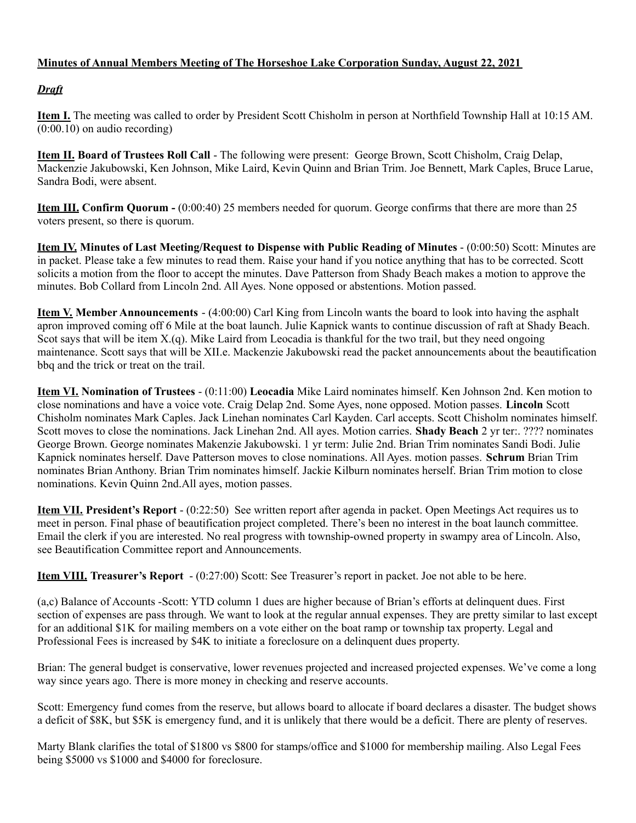## **Minutes of Annual Members Meeting of The Horseshoe Lake Corporation Sunday, August 22, 2021**

## *Draft*

**Item I.** The meeting was called to order by President Scott Chisholm in person at Northfield Township Hall at 10:15 AM. (0:00.10) on audio recording)

**Item II. Board of Trustees Roll Call** - The following were present: George Brown, Scott Chisholm, Craig Delap, Mackenzie Jakubowski, Ken Johnson, Mike Laird, Kevin Quinn and Brian Trim. Joe Bennett, Mark Caples, Bruce Larue, Sandra Bodi, were absent.

**Item III. Confirm Quorum -** (0:00:40) 25 members needed for quorum. George confirms that there are more than 25 voters present, so there is quorum.

**Item IV. Minutes of Last Meeting/Request to Dispense with Public Reading of Minutes** - (0:00:50) Scott: Minutes are in packet. Please take a few minutes to read them. Raise your hand if you notice anything that has to be corrected. Scott solicits a motion from the floor to accept the minutes. Dave Patterson from Shady Beach makes a motion to approve the minutes. Bob Collard from Lincoln 2nd. All Ayes. None opposed or abstentions. Motion passed.

**Item V. Member Announcements** - (4:00:00) Carl King from Lincoln wants the board to look into having the asphalt apron improved coming off 6 Mile at the boat launch. Julie Kapnick wants to continue discussion of raft at Shady Beach. Scot says that will be item  $X(q)$ . Mike Laird from Leocadia is thankful for the two trail, but they need ongoing maintenance. Scott says that will be XII.e. Mackenzie Jakubowski read the packet announcements about the beautification bbq and the trick or treat on the trail.

**Item VI. Nomination of Trustees** - (0:11:00) **Leocadia** Mike Laird nominates himself. Ken Johnson 2nd. Ken motion to close nominations and have a voice vote. Craig Delap 2nd. Some Ayes, none opposed. Motion passes. **Lincoln** Scott Chisholm nominates Mark Caples. Jack Linehan nominates Carl Kayden. Carl accepts. Scott Chisholm nominates himself. Scott moves to close the nominations. Jack Linehan 2nd. All ayes. Motion carries. **Shady Beach** 2 yr ter:. ???? nominates George Brown. George nominates Makenzie Jakubowski. 1 yr term: Julie 2nd. Brian Trim nominates Sandi Bodi. Julie Kapnick nominates herself. Dave Patterson moves to close nominations. All Ayes. motion passes. **Schrum** Brian Trim nominates Brian Anthony. Brian Trim nominates himself. Jackie Kilburn nominates herself. Brian Trim motion to close nominations. Kevin Quinn 2nd.All ayes, motion passes.

**Item VII. President's Report** - (0:22:50) See written report after agenda in packet. Open Meetings Act requires us to meet in person. Final phase of beautification project completed. There's been no interest in the boat launch committee. Email the clerk if you are interested. No real progress with township-owned property in swampy area of Lincoln. Also, see Beautification Committee report and Announcements.

**Item VIII. Treasurer's Report** - (0:27:00) Scott: See Treasurer's report in packet. Joe not able to be here.

(a,c) Balance of Accounts -Scott: YTD column 1 dues are higher because of Brian's efforts at delinquent dues. First section of expenses are pass through. We want to look at the regular annual expenses. They are pretty similar to last except for an additional \$1K for mailing members on a vote either on the boat ramp or township tax property. Legal and Professional Fees is increased by \$4K to initiate a foreclosure on a delinquent dues property.

Brian: The general budget is conservative, lower revenues projected and increased projected expenses. We've come a long way since years ago. There is more money in checking and reserve accounts.

Scott: Emergency fund comes from the reserve, but allows board to allocate if board declares a disaster. The budget shows a deficit of \$8K, but \$5K is emergency fund, and it is unlikely that there would be a deficit. There are plenty of reserves.

Marty Blank clarifies the total of \$1800 vs \$800 for stamps/office and \$1000 for membership mailing. Also Legal Fees being \$5000 vs \$1000 and \$4000 for foreclosure.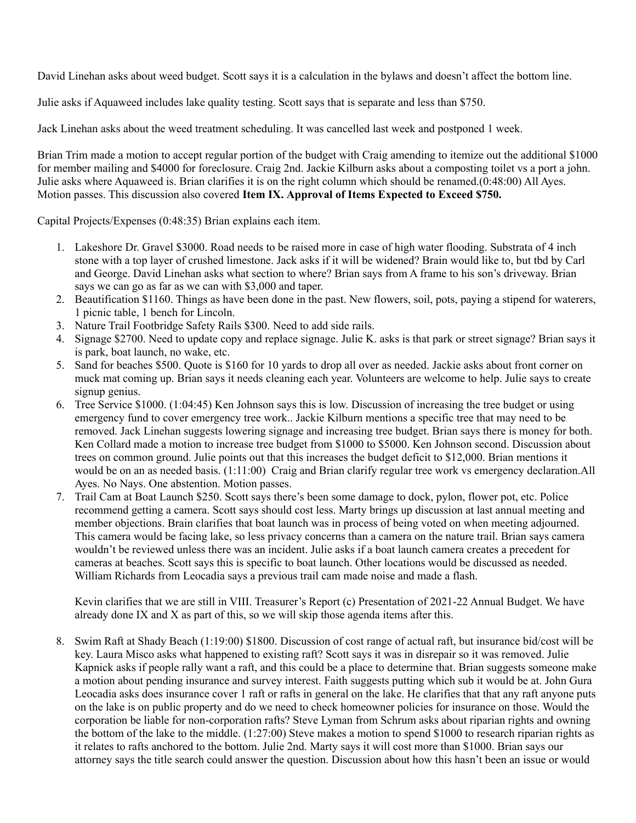David Linehan asks about weed budget. Scott says it is a calculation in the bylaws and doesn't affect the bottom line.

Julie asks if Aquaweed includes lake quality testing. Scott says that is separate and less than \$750.

Jack Linehan asks about the weed treatment scheduling. It was cancelled last week and postponed 1 week.

Brian Trim made a motion to accept regular portion of the budget with Craig amending to itemize out the additional \$1000 for member mailing and \$4000 for foreclosure. Craig 2nd. Jackie Kilburn asks about a composting toilet vs a port a john. Julie asks where Aquaweed is. Brian clarifies it is on the right column which should be renamed.(0:48:00) All Ayes. Motion passes. This discussion also covered **Item IX. Approval of Items Expected to Exceed \$750.**

Capital Projects/Expenses (0:48:35) Brian explains each item.

- 1. Lakeshore Dr. Gravel \$3000. Road needs to be raised more in case of high water flooding. Substrata of 4 inch stone with a top layer of crushed limestone. Jack asks if it will be widened? Brain would like to, but tbd by Carl and George. David Linehan asks what section to where? Brian says from A frame to his son's driveway. Brian says we can go as far as we can with \$3,000 and taper.
- 2. Beautification \$1160. Things as have been done in the past. New flowers, soil, pots, paying a stipend for waterers, 1 picnic table, 1 bench for Lincoln.
- 3. Nature Trail Footbridge Safety Rails \$300. Need to add side rails.
- 4. Signage \$2700. Need to update copy and replace signage. Julie K. asks is that park or street signage? Brian says it is park, boat launch, no wake, etc.
- 5. Sand for beaches \$500. Quote is \$160 for 10 yards to drop all over as needed. Jackie asks about front corner on muck mat coming up. Brian says it needs cleaning each year. Volunteers are welcome to help. Julie says to create signup genius.
- 6. Tree Service \$1000. (1:04:45) Ken Johnson says this is low. Discussion of increasing the tree budget or using emergency fund to cover emergency tree work.. Jackie Kilburn mentions a specific tree that may need to be removed. Jack Linehan suggests lowering signage and increasing tree budget. Brian says there is money for both. Ken Collard made a motion to increase tree budget from \$1000 to \$5000. Ken Johnson second. Discussion about trees on common ground. Julie points out that this increases the budget deficit to \$12,000. Brian mentions it would be on an as needed basis. (1:11:00) Craig and Brian clarify regular tree work vs emergency declaration. All Ayes. No Nays. One abstention. Motion passes.
- 7. Trail Cam at Boat Launch \$250. Scott says there's been some damage to dock, pylon, flower pot, etc. Police recommend getting a camera. Scott says should cost less. Marty brings up discussion at last annual meeting and member objections. Brain clarifies that boat launch was in process of being voted on when meeting adjourned. This camera would be facing lake, so less privacy concerns than a camera on the nature trail. Brian says camera wouldn't be reviewed unless there was an incident. Julie asks if a boat launch camera creates a precedent for cameras at beaches. Scott says this is specific to boat launch. Other locations would be discussed as needed. William Richards from Leocadia says a previous trail cam made noise and made a flash.

Kevin clarifies that we are still in VIII. Treasurer's Report (c) Presentation of 2021-22 Annual Budget. We have already done IX and X as part of this, so we will skip those agenda items after this.

8. Swim Raft at Shady Beach (1:19:00) \$1800. Discussion of cost range of actual raft, but insurance bid/cost will be key. Laura Misco asks what happened to existing raft? Scott says it was in disrepair so it was removed. Julie Kapnick asks if people rally want a raft, and this could be a place to determine that. Brian suggests someone make a motion about pending insurance and survey interest. Faith suggests putting which sub it would be at. John Gura Leocadia asks does insurance cover 1 raft or rafts in general on the lake. He clarifies that that any raft anyone puts on the lake is on public property and do we need to check homeowner policies for insurance on those. Would the corporation be liable for non-corporation rafts? Steve Lyman from Schrum asks about riparian rights and owning the bottom of the lake to the middle. (1:27:00) Steve makes a motion to spend \$1000 to research riparian rights as it relates to rafts anchored to the bottom. Julie 2nd. Marty says it will cost more than \$1000. Brian says our attorney says the title search could answer the question. Discussion about how this hasn't been an issue or would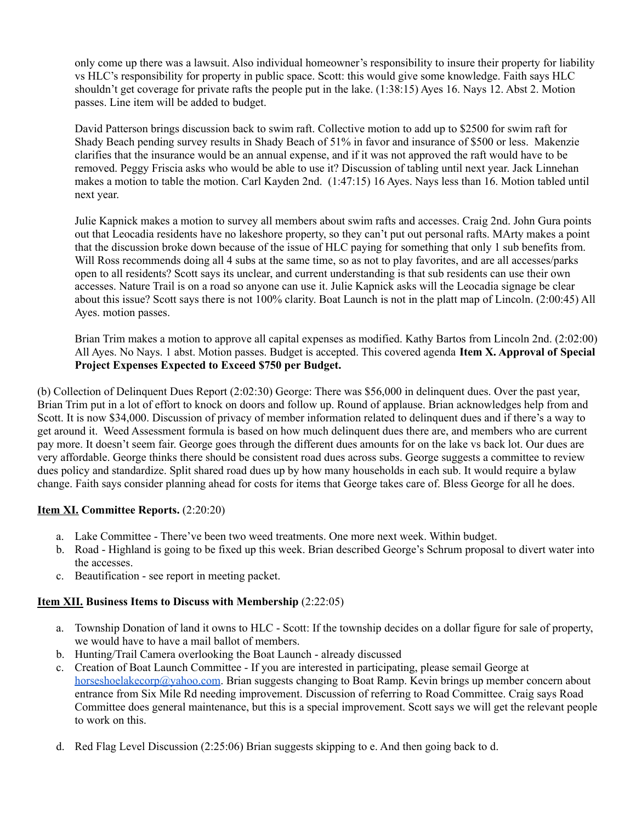only come up there was a lawsuit. Also individual homeowner's responsibility to insure their property for liability vs HLC's responsibility for property in public space. Scott: this would give some knowledge. Faith says HLC shouldn't get coverage for private rafts the people put in the lake. (1:38:15) Ayes 16. Nays 12. Abst 2. Motion passes. Line item will be added to budget.

David Patterson brings discussion back to swim raft. Collective motion to add up to \$2500 for swim raft for Shady Beach pending survey results in Shady Beach of 51% in favor and insurance of \$500 or less. Makenzie clarifies that the insurance would be an annual expense, and if it was not approved the raft would have to be removed. Peggy Friscia asks who would be able to use it? Discussion of tabling until next year. Jack Linnehan makes a motion to table the motion. Carl Kayden 2nd. (1:47:15) 16 Ayes. Nays less than 16. Motion tabled until next year.

Julie Kapnick makes a motion to survey all members about swim rafts and accesses. Craig 2nd. John Gura points out that Leocadia residents have no lakeshore property, so they can't put out personal rafts. MArty makes a point that the discussion broke down because of the issue of HLC paying for something that only 1 sub benefits from. Will Ross recommends doing all 4 subs at the same time, so as not to play favorites, and are all accesses/parks open to all residents? Scott says its unclear, and current understanding is that sub residents can use their own accesses. Nature Trail is on a road so anyone can use it. Julie Kapnick asks will the Leocadia signage be clear about this issue? Scott says there is not 100% clarity. Boat Launch is not in the platt map of Lincoln. (2:00:45) All Ayes. motion passes.

Brian Trim makes a motion to approve all capital expenses as modified. Kathy Bartos from Lincoln 2nd. (2:02:00) All Ayes. No Nays. 1 abst. Motion passes. Budget is accepted. This covered agenda **Item X. Approval of Special Project Expenses Expected to Exceed \$750 per Budget.**

(b) Collection of Delinquent Dues Report (2:02:30) George: There was \$56,000 in delinquent dues. Over the past year, Brian Trim put in a lot of effort to knock on doors and follow up. Round of applause. Brian acknowledges help from and Scott. It is now \$34,000. Discussion of privacy of member information related to delinquent dues and if there's a way to get around it. Weed Assessment formula is based on how much delinquent dues there are, and members who are current pay more. It doesn't seem fair. George goes through the different dues amounts for on the lake vs back lot. Our dues are very affordable. George thinks there should be consistent road dues across subs. George suggests a committee to review dues policy and standardize. Split shared road dues up by how many households in each sub. It would require a bylaw change. Faith says consider planning ahead for costs for items that George takes care of. Bless George for all he does.

## **Item XI. Committee Reports.** (2:20:20)

- a. Lake Committee There've been two weed treatments. One more next week. Within budget.
- b. Road Highland is going to be fixed up this week. Brian described George's Schrum proposal to divert water into the accesses.
- c. Beautification see report in meeting packet.

## **Item XII. Business Items to Discuss with Membership** (2:22:05)

- a. Township Donation of land it owns to HLC Scott: If the township decides on a dollar figure for sale of property, we would have to have a mail ballot of members.
- b. Hunting/Trail Camera overlooking the Boat Launch already discussed
- c. Creation of Boat Launch Committee If you are interested in participating, please semail George at [horseshoelakecorp@yahoo.com](mailto:horseshoelakecorp@yahoo.com). Brian suggests changing to Boat Ramp. Kevin brings up member concern about entrance from Six Mile Rd needing improvement. Discussion of referring to Road Committee. Craig says Road Committee does general maintenance, but this is a special improvement. Scott says we will get the relevant people to work on this.
- d. Red Flag Level Discussion (2:25:06) Brian suggests skipping to e. And then going back to d.